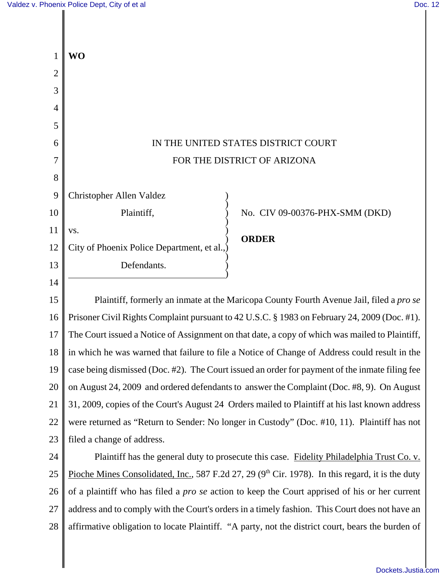|    | <b>WO</b>                                                                                            |
|----|------------------------------------------------------------------------------------------------------|
| 2  |                                                                                                      |
| 3  |                                                                                                      |
| 4  |                                                                                                      |
| 5  |                                                                                                      |
| 6  | IN THE UNITED STATES DISTRICT COURT                                                                  |
| 7  | FOR THE DISTRICT OF ARIZONA                                                                          |
| 8  |                                                                                                      |
| 9  | Christopher Allen Valdez                                                                             |
| 10 | No. CIV 09-00376-PHX-SMM (DKD)<br>Plaintiff,                                                         |
| 11 | VS.                                                                                                  |
| 12 | <b>ORDER</b><br>City of Phoenix Police Department, et al.,                                           |
| 13 | Defendants.                                                                                          |
| 14 |                                                                                                      |
| 15 | Plaintiff, formerly an inmate at the Maricopa County Fourth Avenue Jail, filed a pro se              |
| 16 | Prisoner Civil Rights Complaint pursuant to 42 U.S.C. § 1983 on February 24, 2009 (Doc. #1).         |
| 17 | The Court issued a Notice of Assignment on that date, a copy of which was mailed to Plaintiff,       |
| 18 | in which he was warned that failure to file a Notice of Change of Address could result in the        |
| 19 | case being dismissed (Doc. #2). The Court issued an order for payment of the inmate filing fee       |
| 20 | on August 24, 2009 and ordered defendants to answer the Complaint (Doc. #8, 9). On August            |
| 21 | 31, 2009, copies of the Court's August 24 Orders mailed to Plaintiff at his last known address       |
| 22 | were returned as "Return to Sender: No longer in Custody" (Doc. #10, 11). Plaintiff has not          |
| 23 | filed a change of address.                                                                           |
| 24 | Plaintiff has the general duty to prosecute this case. Fidelity Philadelphia Trust Co. v.            |
| 25 | Pioche Mines Consolidated, Inc., 587 F.2d 27, 29 ( $9th$ Cir. 1978). In this regard, it is the duty  |
| 26 | of a plaintiff who has filed a <i>pro se</i> action to keep the Court apprised of his or her current |
| 27 | address and to comply with the Court's orders in a timely fashion. This Court does not have an       |
| 28 | affirmative obligation to locate Plaintiff. "A party, not the district court, bears the burden of    |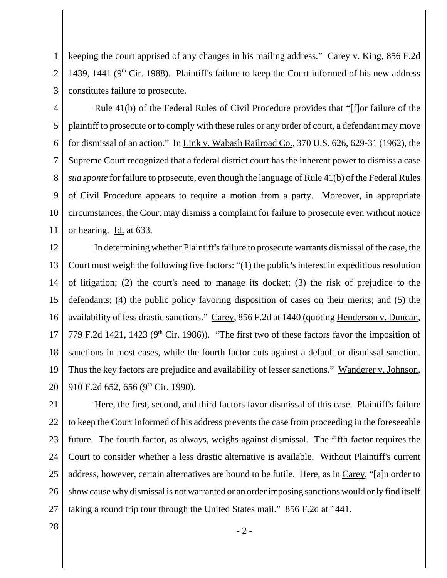1 2 keeping the court apprised of any changes in his mailing address." Carey v. King, 856 F.2d 1439, 1441 ( $9<sup>th</sup>$  Cir. 1988). Plaintiff's failure to keep the Court informed of his new address constitutes failure to prosecute.

3

4 5 6 7 8 9 10 11 Rule 41(b) of the Federal Rules of Civil Procedure provides that "[f]or failure of the plaintiff to prosecute or to comply with these rules or any order of court, a defendant may move for dismissal of an action." In Link v. Wabash Railroad Co., 370 U.S. 626, 629-31 (1962), the Supreme Court recognized that a federal district court has the inherent power to dismiss a case *sua sponte* for failure to prosecute, even though the language of Rule 41(b) of the Federal Rules of Civil Procedure appears to require a motion from a party. Moreover, in appropriate circumstances, the Court may dismiss a complaint for failure to prosecute even without notice or hearing. Id. at 633.

12 13 14 15 16 17 18 19 20 In determining whether Plaintiff's failure to prosecute warrants dismissal of the case, the Court must weigh the following five factors: "(1) the public's interest in expeditious resolution of litigation; (2) the court's need to manage its docket; (3) the risk of prejudice to the defendants; (4) the public policy favoring disposition of cases on their merits; and (5) the availability of less drastic sanctions." Carey, 856 F.2d at 1440 (quoting Henderson v. Duncan, 779 F.2d 1421, 1423 ( $9<sup>th</sup>$  Cir. 1986)). "The first two of these factors favor the imposition of sanctions in most cases, while the fourth factor cuts against a default or dismissal sanction. Thus the key factors are prejudice and availability of lesser sanctions." Wanderer v. Johnson, 910 F.2d 652, 656 (9th Cir. 1990).

21 22 23 24 25 26 27 Here, the first, second, and third factors favor dismissal of this case. Plaintiff's failure to keep the Court informed of his address prevents the case from proceeding in the foreseeable future. The fourth factor, as always, weighs against dismissal. The fifth factor requires the Court to consider whether a less drastic alternative is available. Without Plaintiff's current address, however, certain alternatives are bound to be futile. Here, as in Carey, "[a]n order to show cause why dismissal is not warranted or an order imposing sanctions would only find itself taking a round trip tour through the United States mail." 856 F.2d at 1441.